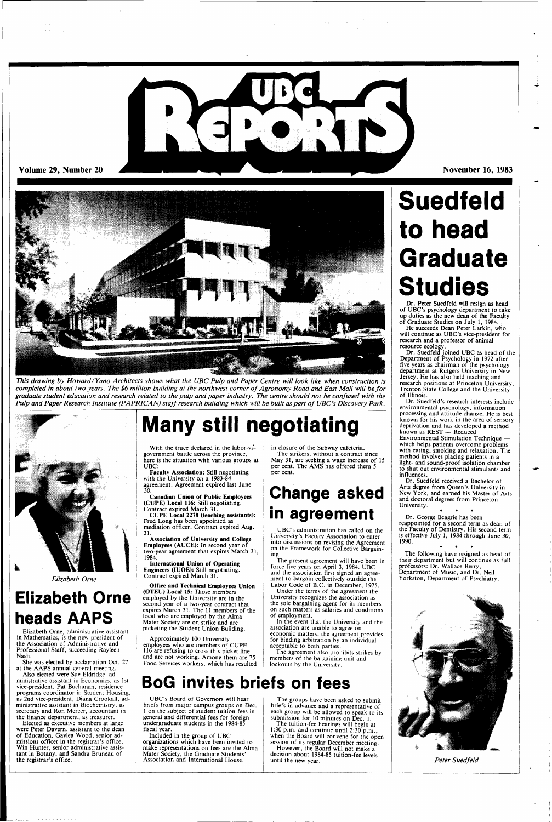

 $\mathcal{F}_{\mathcal{A}}(x) = \mathcal{F}_{\mathcal{A}}(x) = \mathcal{F}_{\mathcal{A}}(x) = \mathcal{F}_{\mathcal{A}}(x) = \mathcal{F}_{\mathcal{A}}(x) = \mathcal{F}_{\mathcal{A}}(x) = \mathcal{F}_{\mathcal{A}}(x) = \mathcal{F}_{\mathcal{A}}(x)$ 

**Volume 29, Number 20 November 16, 1983** 



*This drawing by Howard/Yano Architects shows what the UBC Pulp and Paper Centre will look like when construction is completed in about two years. The \$6-million building at the northwest corner of Agronomy Road and East Mall will be for graduate student education and research related to the pulp and paper industry. The centre should not be confused with the Pulp and Paper Research Institute (PAPRICAN) staff research building which will be built as part of UBC's Discovery Park.* 



*Elizabeth Orne* 

### **Elizabeth Orne heads AAPS**

Elizabeth Orne, administrative assistant in Mathematics, is the new president of the Association of Administrative and Professional Staff, succeeding Rayleen Nash.

She was elected by acclamation Oct. 27 at the AAPS annual general meeting.

With the truce declared in the labor-vsgovernment battle across the province, here is the situation with various groups at UBC:

Also elected were Sue Eldridge, administrative assistant in Economics, as 1st vice-president, Pat Buchanan, residence programs coordinator in Student Housing, as 2nd vice-president, Diana Crookall, administrative assistant in Biochemistry, as secretary and Ron Mercer, accountant in the finance department, as treasurer.

Elected as executive members at large were Peter Davern, assistant to the dean of Education, Gaylea Wood, senior admissions officer in the registrar's office, Win Hunter, senior administrative assistant in Botany, and Sandra Bruneau of the registrar's office.

**Many still negotiating** 

Faculty Association: Still negotiating with the University on a 1983-84 agreement. Agreement expired last June

30. Canadian Union of Public Employees (CUPE) Local 116: Still negotiating. Contract expired March 31.

CUPE Local 2278 (teaching assistants): Fred Long has been appointed as mediation officer. Contract expired Aug.

31. Association of University and College Employees (AUCE): In second year of two-year agreement that expires March 31,

1984. International Union of Operating Engineers (IUOE): Still negotiating. Contract expired March 31.

Office and Technical Employees Union (OTEU) Local 15: Those members employed by the University are in the second year of a two-year contract that expires March 31. The 11 members of the Dr. Peter Suedfeld will resign as head<br>of UBC's psychology department to take of UBC's psychology department to take up duties as the new dean of the Faculty of Graduate Studies on July 1, 1984. /

local who are employed by the Alma Mater Society are on strike and are picketing the Student Union Building.

Approximately 100 University employees who are members of CUPE 116 are refusing to cross this picket line and are not working. Among them are 75 Food Services workers, which has resulted in closure of the Subway cafeteria. The strikers, without a contract since May 31, are seeking a wage increase of 15 per cent. The AMS has offered them 5

per cent.

## **Change asked in agreement**

UBC's administration has called on the University's Faculty Association to enter into discussions on revising the Agreement on the Framework for Collective Bargaining.

The present agreement will have been in force five years on April 3, 1984. UBC and the association first signed an agreement to bargain collectively outside the Labor Code of B.C. in December, 1975.

Under the terms of the agreement the University recognizes the association as the sole bargaining agent for its members on such matters as salaries and conditions

of employment.

In the event that the University and the association are unable to agree on economic matters, the agreement provides for binding arbitration by an individual acceptable to both parties.

The agreement also prohibits strikes by members of the bargaining unit and lockouts by the University.

### **BoG invites briefs on fees**

UBC's Board of Governors will hear briefs from major campus groups on Dec. 1 on the subject of student tuition fees in general and differential fees for foreign undergraduate students in the 1984-85 fiscal year.

Included in the group of UBC organizations which have been invited to make representations on fees are the Alma Mater Society, the Graduate Students' Association and International House.

The groups have been asked to submit briefs in advance and a representative of each group will be allowed to speak to its submission for 10 minutes on Dec. 1. The tuition-fee hearings will begin at

1:30 p.m. and continue until 2:30 p.m., when the Board will convene for the open session of its regular December meeting. However, the Board will not make a decision about 1984-85 tuition-fee levels until the new year.

# **Suedfeld to head Graduate Studies**

He succeeds Dean Peter Larkin, who will continue as UBC's vice-president for research and a professor of animal resource ecology.

Dr. Suedfeld joined UBC as head of the Department of Psychology in 1972 after five years as chairman of the psychology department at Rutgers University in New Jersey. He has also held teaching and research positions at Princeton University, Trenton State College and the University of Illinois.

Dr. Suedfeld's research interests include environmental psychology, information processing and attitude change. He is best known for his work in the area of sensory deprivation and has developed a method known as REST — Reduced Environmental Stimulation Technique which helps patients overcome problems with eating, smoking and relaxation. The method involves placing patients in a light- and sound-proof isolation chamber to shut out environmental stimulants and influences.

Dr. Suedfeld received a Bachelor of Arts degree from Queen's University in New York, and earned his Master of Arts and doctoral degrees from Princeton University.

**\* + \*** 

Dr. George Beagrie has been reappointed for a second term as dean of the Faculty of Dentistry. His second term is effective July 1, 1984 through June 30, 1990.

The following have resigned as head of their department but will continue as full professors: Dr. Wallace Berry, Department of Music, and Dr. Neil Yorkston, Department of Psychiatry.

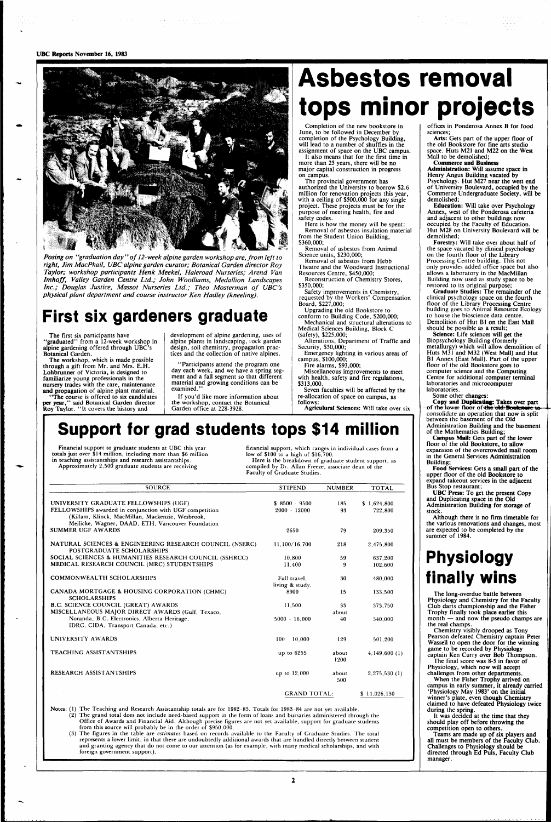#### **UBC Reports** November 16, 1983



*Posing on ' 'graduation day'' of 12-week alpine garden workshop are, from left to right, Jim MacPhail, UBC alpine garden curator; Botanical Garden director Roy Taylor; workshop participants Henk Meekel, Haleroad Nurseries; Arend Van Imhoff, Valley Garden Centre Ltd.; John Woolliams, Medallion Landscapes Inc.; Douglas Justice, Massot Nurseries Ltd.; Theo Mosterman of UBC's physical plant department and course instructor Ken Hadley (kneeling).* 

### **First six gardeners graduate**

The first six participants have 'graduated'' from a 12-week workshop in alpine gardening offered through UBC's Botanical Garden.

> "Participants attend the program one day each week, and we have a spring segment and a fall segment so that different material and growing conditions can be examined.

The workshop, which is made possible through a gift from Mr. and Mrs. E.H. Lohbrunner of Victoria, is designed to familiarize young professionals in the nursery trades with the care, maintenance and propagation of alpine plant material.

"The course is offered to six candidates per year," said Botanical Garden director Roy Taylor. "It covers the history and

development of alpine gardening, uses of alpine plants in landscaping, rock garden design, soil chemistry, propagation practices and the collection of native alpines.

If you'd like more information about the workshop, contact the Botanical Garden office at 228-3928.

## **Asbestos removal tops minor projects**

Completion of the new bookstore in June, to be followed in December by completion of the Psychology Building, will lead to a number of shuffles in the assignment of space on the UBC campus.

It also means that for the first time in more than 25 years, there will be no major capital construction in progress on campus.

The provincial government has authorized the University to borrow \$2.6 million for renovation projects this year, with a ceiling of \$500,000 for any single project. These projects must be for the purpose of meeting health, fire and safety codes.

Here is how the money will be spent: Removal of asbestos insulation material from the Student Union Building, \$360,000;

Removal of asbestos from Animal Science units, \$230,000;

Removal of asbestos from Hebb Theatre and the Woodward Instructional

Resources Centre, \$450,000; Reconstruction of Chemistry Stores, \$350,000;

Safety improvements in Chemistry, requested by the Workers' Compensation

Board, \$227,000; Upgrading the old Bookstore to conform to Building Code, \$200,000;

Mechanical and structural alterations to Medical Sciences Building, Block C (safety), \$225,000;

Alterations, Department of Traffic and Security, \$50,000;

Emergency lighting in various areas of campus, \$100,000;

Fire alarms, \$93,000;

Arts: Gets part of the upper floor of the old Bookstore for fine arts studio space. Huts M21 and M22 on the West Mall to be demolished;

Miscellaneous improvements to meet with health, safety and fire regulations, \$313,000.

Seven faculties will be affected by the re-allocation of space on campus, as follows:

Agriculural Sciences: Will take over six

### **Support for grad students tops \$14 million**

Financial support to graduate students at UBC this year totals just over \$14 million, including more than \$6 million in teaching assistantships and research assistantships. Approximately 2,500 graduate students are receiving

financial support, which ranges in individual cases from a low of \$100 to a high of \$16,700.

Here is the breakdown of graduate student support, as compiled by Dr. Allan Freeze, associate dean of the Faculty of Graduate Studies.

Science: Life sciences will get the Biopsychology Building (formerly metallurgy) which will allow demolition of Huts M31 and M32 (West Mall) and Hut BI Annex (East Mall). Part of the upper floor of the old Bookstore goes to computer science and the Computing Centre for additional computer terminal laboratories and microcomputer laboratories.

| <b>SOURCE</b>                                                                        | <b>STIPEND</b>      | <b>NUMBER</b> | <b>TOTAL</b> |
|--------------------------------------------------------------------------------------|---------------------|---------------|--------------|
| UNIVERSITY GRADUATE FELLOWSHIPS (UGF)                                                | $$8500 - 9500$      |               | \$1,624,800  |
| FELLOWSHIPS awarded in conjunction with UGF competition                              | $2000 - 12000$      | 185<br>93     | 722,800      |
| (Killam, Klinck, MacMillan, Mackenzie, Wesbrook,                                     |                     |               |              |
| Meilicke, Wagner, DAAD, ETH, Vancouver Foundation                                    |                     |               |              |
| <b>SUMMER UGF AWARDS</b>                                                             | 2650                | 79            | 209,350      |
|                                                                                      |                     |               |              |
| NATURAL SCIENCES & ENGINEERING RESEARCH COUNCIL (NSERC)<br>POSTGRADUATE SCHOLARSHIPS | 11,100/16,700       | 218           | 2,475,800    |
| SOCIAL SCIENCES & HUMANITIES RESEARCH COUNCIL (SSHRCC)                               | 10,800              | 59            | 637.200      |
| MEDICAL RESEARCH COUNCIL (MRC) STUDENTSHIPS                                          | 11,400              | 9             | 102,600      |
|                                                                                      |                     |               |              |
| <b>COMMONWEALTH SCHOLARSHIPS</b>                                                     | Full travel.        | 30            | 480,000      |
|                                                                                      | living & study.     |               |              |
| CANADA MORTGAGE & HOUSING CORPORATION (CHMC)                                         | 8900                | 15            | 133.500      |
| <b>SCHOLARSHIPS</b>                                                                  |                     |               |              |
| <b>B.C. SCIENCE COUNCIL (GREAT) AWARDS</b>                                           | 11,500              | 33            | 373,750      |
| MISCELLANEOUS MAJOR DIRECT AWARDS (Gulf, Texaco,                                     |                     | about         |              |
| Noranda, B.C. Electronics, Alberta Heritage,                                         | $5000 - 16,000$     | 40            | 340,000      |
| IDRC, CIDA, Transport Canada, etc.)                                                  |                     |               |              |
|                                                                                      |                     |               |              |
| UNIVERSITY AWARDS                                                                    | 100<br>10,000       | 129           | 501,200      |
| <b>TEACHING ASSISTANTSHIPS</b>                                                       | up to 6255          | about         | 4,149,600(1) |
|                                                                                      |                     | 1200          |              |
|                                                                                      |                     |               |              |
| <b>RESEARCH ASSISTANTSHIPS</b>                                                       | up to 12,000        | about         | 2,275,530(1) |
|                                                                                      |                     | 500           |              |
|                                                                                      | <b>GRAND TOTAL:</b> |               | \$14,026,130 |
|                                                                                      |                     |               |              |

 $\mathbf{2}$ 

offices in Ponderosa Annex B for food sciences;

Commerce and Business Administration: Will assume space in Henry Angus Building vacated by Psychology. Hut M27 near the west end of University Boulevard, occupied by the Commerce Undergraduate Society, will be demolished;

Education: Will take over Psychology Annex, west of the Ponderosa cafeteria and adjacent to other buildings now occupied by the Faculty of Education. Hut M28 on University Boulevard will be demolished;

Forestry: Will take over about half of the space vacated by clinical psychology on the fourth floor of the Library Processing Centre building. This not only provides added office space but also allows a laboratory in the MacMillan Building now used as study space to be restored to its original purpose;

Graduate Studies: The remainder of the clinical psychology space on the fourth floor of the Library Processing Centre building goes to Animal Resource Ecology to house the bioscience data centre. Demolition of Hut BI on the East Mall should be possible as a result;

Some other changes:

Copy and **Duplicating:** Takes over part of the lower floor of **<he** old **Ptwkjf»t ta**  consolidate an operation that now is split between the basement of the Old Administration Building and the basement of the Mathematics Building;

Campus **Mail:** Gets part of the lower floor of the old Bookstore, to allow expansion of the overcrowded mail room in the General Services Administration Building;

Food Services: Gets a small part of the upper floor of the old Bookstore to expand takeout services in the adjacent Bus Stop restaurant;

UBC Press: To get the present Copy and Duplicating space in the Old Administration Building for storage of stock.

Although there is no firm timetable for the various renovations and changes, most are expected to be completed by the summer of 1984.

### **Physiology finally wins**

The long-overdue battle between Physiology and Chemistry for the Faculty Club darts championship and the Fisher Trophy finally took place earlier this month — and now the pseudo champs are the real champs. Chemistry visibly drooped as Tony Pearson defeated Chemistry captain Peter Wassell to open the door for the winning game to be recorded by Physiology captain Ken Curry over Bob Thompson. The final score was 8-5 in favor of Physiology, which now will accept challenges from other departments. When the Fisher Trophy arrived on campus in early summer, it already carried 'Physiology May 1983' on the initial winner's plate, even though Chemistry claimed to have defeated Physiology twice during the spring. It was decided at the time that they should play off before throwing the competition open to others. Teams are made up of six players and all must be members of the Faculty Club. Challenges to Physiology should be directed through Ed Puis, Faculty Club manager.